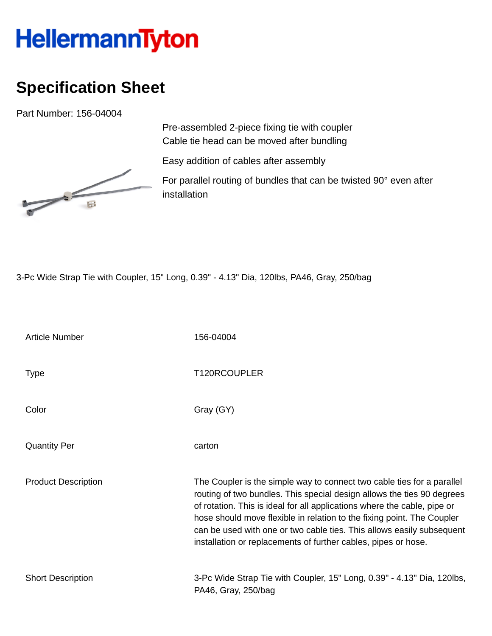## HellermannTyton

## **Specification Sheet**

Part Number: 156-04004



Pre-assembled 2-piece fixing tie with coupler Cable tie head can be moved after bundling

Easy addition of cables after assembly

For parallel routing of bundles that can be twisted 90° even after installation

3-Pc Wide Strap Tie with Coupler, 15" Long, 0.39" - 4.13" Dia, 120lbs, PA46, Gray, 250/bag

| <b>Article Number</b>      | 156-04004                                                                                                                                                                                                                                                                                                                                                                                                                                         |
|----------------------------|---------------------------------------------------------------------------------------------------------------------------------------------------------------------------------------------------------------------------------------------------------------------------------------------------------------------------------------------------------------------------------------------------------------------------------------------------|
| <b>Type</b>                | T120RCOUPLER                                                                                                                                                                                                                                                                                                                                                                                                                                      |
| Color                      | Gray (GY)                                                                                                                                                                                                                                                                                                                                                                                                                                         |
| <b>Quantity Per</b>        | carton                                                                                                                                                                                                                                                                                                                                                                                                                                            |
| <b>Product Description</b> | The Coupler is the simple way to connect two cable ties for a parallel<br>routing of two bundles. This special design allows the ties 90 degrees<br>of rotation. This is ideal for all applications where the cable, pipe or<br>hose should move flexible in relation to the fixing point. The Coupler<br>can be used with one or two cable ties. This allows easily subsequent<br>installation or replacements of further cables, pipes or hose. |
| <b>Short Description</b>   | 3-Pc Wide Strap Tie with Coupler, 15" Long, 0.39" - 4.13" Dia, 120lbs,<br>PA46, Gray, 250/bag                                                                                                                                                                                                                                                                                                                                                     |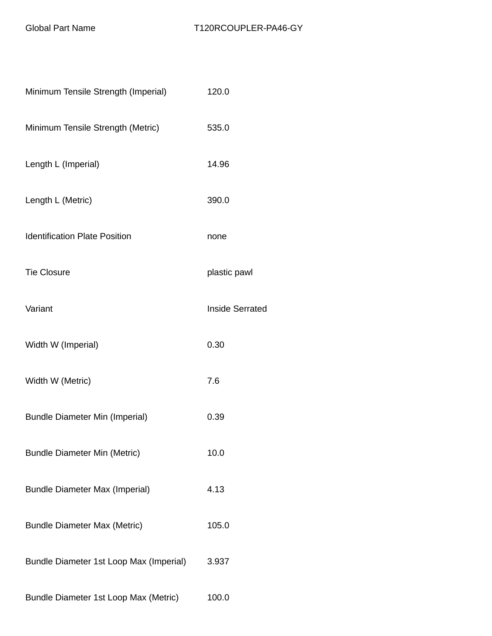| Minimum Tensile Strength (Imperial)     | 120.0                  |
|-----------------------------------------|------------------------|
| Minimum Tensile Strength (Metric)       | 535.0                  |
| Length L (Imperial)                     | 14.96                  |
| Length L (Metric)                       | 390.0                  |
| <b>Identification Plate Position</b>    | none                   |
| <b>Tie Closure</b>                      | plastic pawl           |
| Variant                                 | <b>Inside Serrated</b> |
| Width W (Imperial)                      | 0.30                   |
| Width W (Metric)                        | 7.6                    |
| <b>Bundle Diameter Min (Imperial)</b>   | 0.39                   |
| <b>Bundle Diameter Min (Metric)</b>     | 10.0                   |
| <b>Bundle Diameter Max (Imperial)</b>   | 4.13                   |
| <b>Bundle Diameter Max (Metric)</b>     | 105.0                  |
| Bundle Diameter 1st Loop Max (Imperial) | 3.937                  |
| Bundle Diameter 1st Loop Max (Metric)   | 100.0                  |